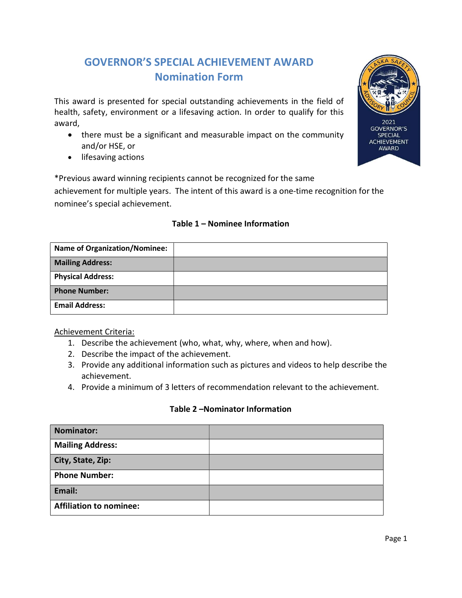## GOVERNOR'S SPECIAL ACHIEVEMENT AWARD Nomination Form

This award is presented for special outstanding achievements in the field of health, safety, environment or a lifesaving action. In order to qualify for this award,

- there must be a significant and measurable impact on the community and/or HSE, or
- lifesaving actions

\*Previous award winning recipients cannot be recognized for the same

achievement for multiple years. The intent of this award is a one-time recognition for the nominee's special achievement.

# Name of Organization/Nominee: Mailing Address: Physical Address: Phone Number: Email Address:

#### Table 1 – Nominee Information

Achievement Criteria:

- 1. Describe the achievement (who, what, why, where, when and how).
- 2. Describe the impact of the achievement.
- 3. Provide any additional information such as pictures and videos to help describe the achievement.
- 4. Provide a minimum of 3 letters of recommendation relevant to the achievement.

#### Table 2 –Nominator Information

| Nominator:                     |  |
|--------------------------------|--|
| <b>Mailing Address:</b>        |  |
| City, State, Zip:              |  |
| <b>Phone Number:</b>           |  |
| Email:                         |  |
| <b>Affiliation to nominee:</b> |  |